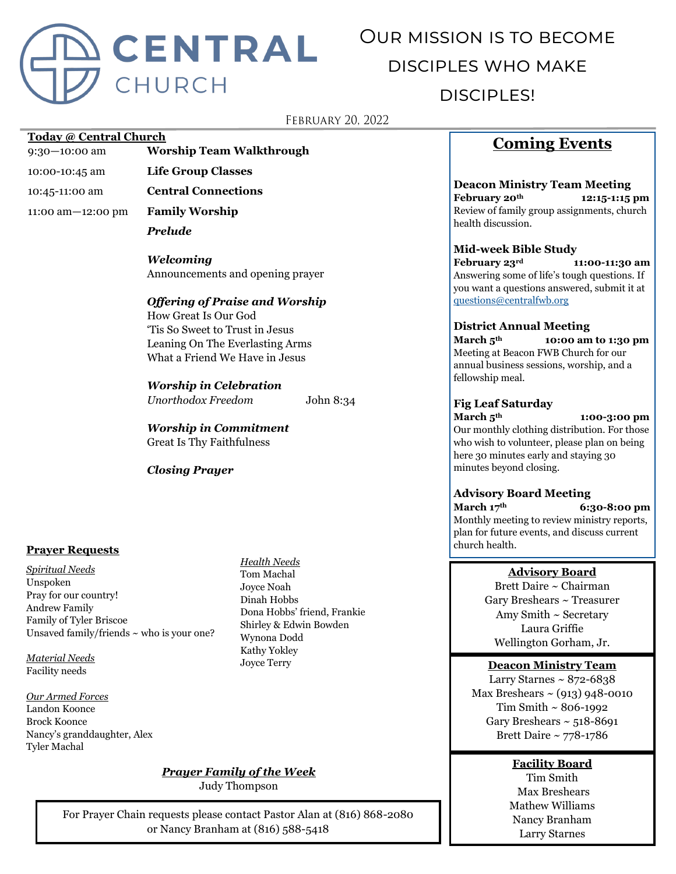

# Our mission is to become disciples who make disciples!

# **FEBRUARY 20, 2022**

## **Today @ Central Church**

9:30—10:00 am **Worship Team Walkthrough**

- 
- 

11:00 am—12:00 pm **Family Worship**

10:00-10:45 am **Life Group Classes** 10:45-11:00 am **Central Connections** *Prelude*

> *Welcoming* Announcements and opening prayer

## *Offering of Praise and Worship*

How Great Is Our God 'Tis So Sweet to Trust in Jesus Leaning On The Everlasting Arms What a Friend We Have in Jesus

## *Worship in Celebration*

*Unorthodox Freedom* John 8:34

*Worship in Commitment* Great Is Thy Faithfulness

## *Closing Prayer*

## **Prayer Requests**

*Spiritual Needs* Unspoken Pray for our country! Andrew Family Family of Tyler Briscoe Unsaved family/friends  $\sim$  who is your one?

*Material Needs* Facility needs

*Our Armed Forces* Landon Koonce Brock Koonce Nancy's granddaughter, Alex Tyler Machal

*Health Needs* Tom Machal Joyce Noah Dinah Hobbs Dona Hobbs' friend, Frankie Shirley & Edwin Bowden Wynona Dodd Kathy Yokley Joyce Terry

# **Coming Events**

**Deacon Ministry Team Meeting February 20th 12:15-1:15 pm** Review of family group assignments, church health discussion.

#### **Mid-week Bible Study**

**February 23rd 11:00-11:30 am** Answering some of life's tough questions. If you want a questions answered, submit it at [questions@centralfwb.org](mailto:questions@centralfwb.org?subject=My%20Question%20Is)

#### **District Annual Meeting**

**March 5th 10:00 am to 1:30 pm** Meeting at Beacon FWB Church for our annual business sessions, worship, and a fellowship meal.

## **Fig Leaf Saturday**

minutes beyond closing.

**March 5th 1:00-3:00 pm** Our monthly clothing distribution. For those who wish to volunteer, please plan on being here 30 minutes early and staying 30

## **Advisory Board Meeting**

**March 17th 6:30-8:00 pm** Monthly meeting to review ministry reports, plan for future events, and discuss current church health.

## **Advisory Board**

Brett Daire ~ Chairman Gary Breshears ~ Treasurer Amy Smith ~ Secretary Laura Griffie Wellington Gorham, Jr.

## **Deacon Ministry Team**

Larry Starnes  $\sim 872 - 6838$ Max Breshears  $\sim$  (913) 948-0010 Tim Smith ~ 806-1992 Gary Breshears  $\sim$  518-8691 Brett Daire ~ 778-1786

# **Facility Board**

Tim Smith Max Breshears Mathew Williams Nancy Branham Larry Starnes

For Prayer Chain requests please contact Pastor Alan at (816) 868-2080 or Nancy Branham at (816) 588-5418

*Prayer Family of the Week* Judy Thompson